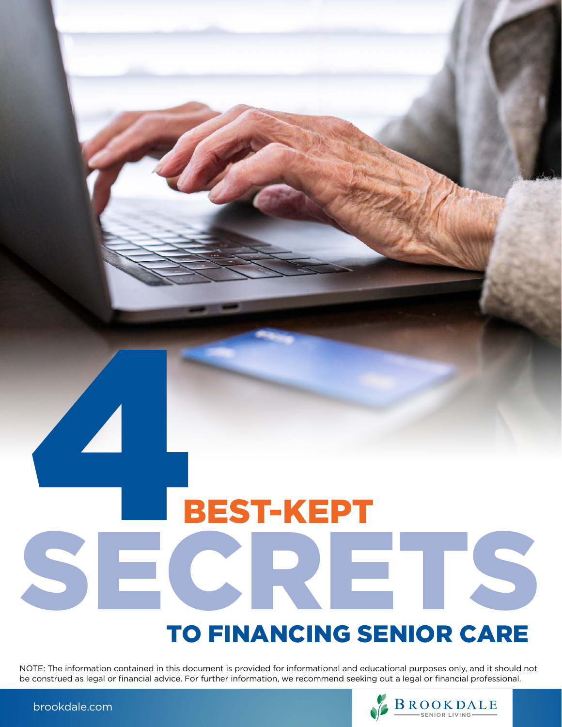# BEST-KEPT SECRETS TO FINANCING SENIOR CARE 56

NOTE: The information contained in this document is provided for informational and educational purposes only, and it should not be construed as legal or financial advice. For further information, we recommend seeking out a legal or financial professional.



[brookdale.com](https://brookdale.com)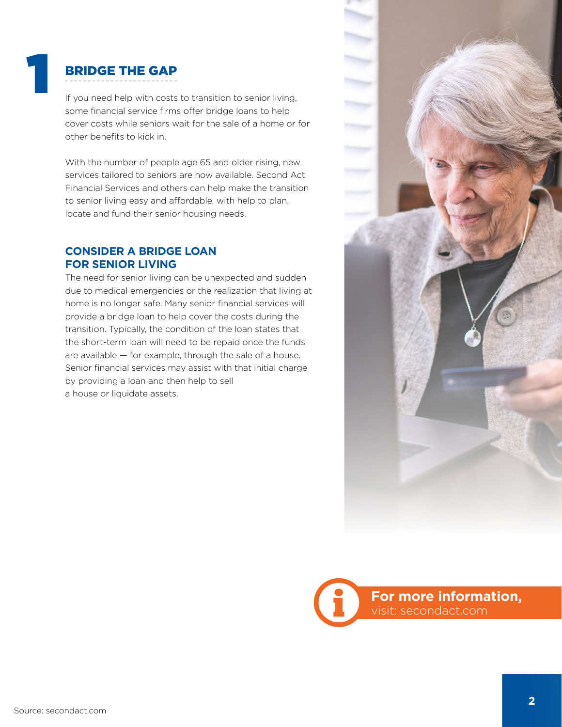## BRIDGE THE GAP

1

If you need help with costs to transition to senior living, some financial service firms offer bridge loans to help cover costs while seniors wait for the sale of a home or for other benefits to kick in.

With the number of people age 65 and older rising, new services tailored to seniors are now available. Second Act Financial Services and others can help make the transition to senior living easy and affordable, with help to plan, locate and fund their senior housing needs.

#### **CONSIDER A BRIDGE LOAN FOR SENIOR LIVING**

The need for senior living can be unexpected and sudden due to medical emergencies or the realization that living at home is no longer safe. Many senior financial services will provide a bridge loan to help cover the costs during the transition. Typically, the condition of the loan states that the short-term loan will need to be repaid once the funds are available — for example, through the sale of a house. Senior financial services may assist with that initial charge by providing a loan and then help to sell a house or liquidate assets.



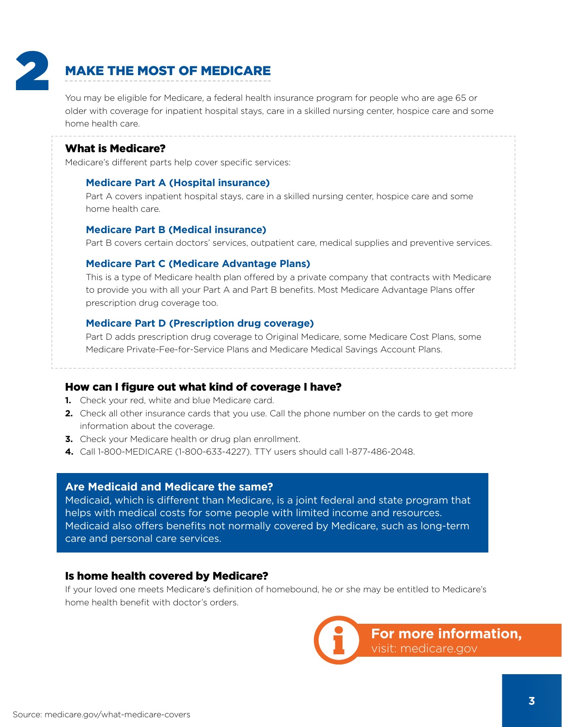

## MAKE THE MOST OF MEDICARE

You may be eligible for Medicare, a federal health insurance program for people who are age 65 or older with coverage for inpatient hospital stays, care in a skilled nursing center, hospice care and some home health care.

#### What is Medicare?

Medicare's different parts help cover specific services:

#### **Medicare Part A (Hospital insurance)**

Part A covers inpatient hospital stays, care in a skilled nursing center, hospice care and some home health care.

#### **Medicare Part B (Medical insurance)**

Part B covers certain doctors' services, outpatient care, medical supplies and preventive services.

#### **Medicare Part C (Medicare Advantage Plans)**

This is a type of Medicare health plan offered by a private company that contracts with Medicare to provide you with all your Part A and Part B benefits. Most Medicare Advantage Plans offer prescription drug coverage too.

#### **Medicare Part D (Prescription drug coverage)**

Part D adds prescription drug coverage to Original Medicare, some Medicare Cost Plans, some Medicare Private-Fee-for-Service Plans and Medicare Medical Savings Account Plans.

How can I figure out what kind of coverage I have?

- **1.** Check your red, white and blue Medicare card.
- **2.** Check all other insurance cards that you use. Call the phone number on the cards to get more information about the coverage.
- **3.** Check your Medicare health or drug plan enrollment.
- **4.** Call 1-800-MEDICARE (1-800-633-4227). TTY users should call 1-877-486-2048.

#### **Are Medicaid and Medicare the same?**

Medicaid, which is different than Medicare, is a joint federal and state program that helps with medical costs for some people with limited income and resources. Medicaid also offers benefits not normally covered by Medicare, such as long-term care and personal care services.

#### Is home health covered by Medicare?

If your loved one meets Medicare's definition of homebound, he or she may be entitled to Medicare's home health benefit with doctor's orders.

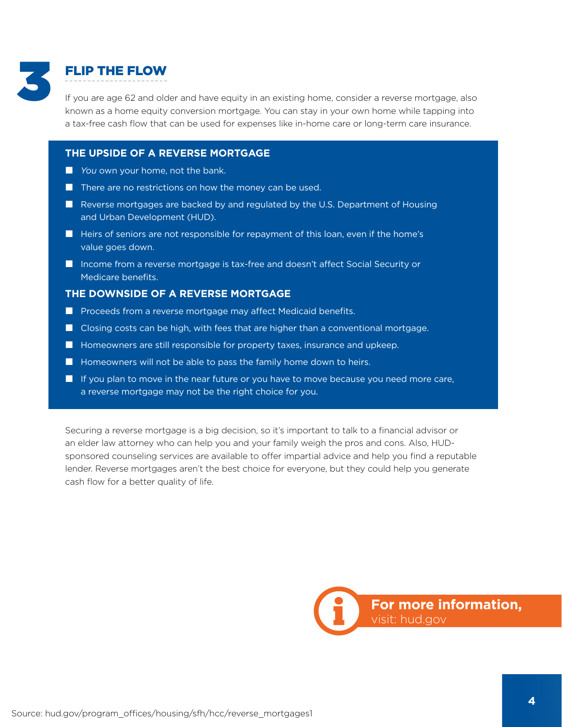

### FLIP THE FLOW

If you are age 62 and older and have equity in an existing home, consider a reverse mortgage, also known as a home equity conversion mortgage. You can stay in your own home while tapping into a tax-free cash flow that can be used for expenses like in-home care or long-term care insurance.

#### **THE UPSIDE OF A REVERSE MORTGAGE**

- *You* own your home, not the bank.
- $\blacksquare$  There are no restrictions on how the money can be used.
- Reverse mortgages are backed by and regulated by the U.S. Department of Housing and Urban Development (HUD).
- $\blacksquare$  Heirs of seniors are not responsible for repayment of this loan, even if the home's value goes down.
- Income from a reverse mortgage is tax-free and doesn't affect Social Security or Medicare benefits.

#### **THE DOWNSIDE OF A REVERSE MORTGAGE**

- **Proceeds from a reverse mortgage may affect Medicaid benefits.**
- Closing costs can be high, with fees that are higher than a conventional mortgage.
- $\blacksquare$  Homeowners are still responsible for property taxes, insurance and upkeep.
- $\blacksquare$  Homeowners will not be able to pass the family home down to heirs.
- $\blacksquare$  If you plan to move in the near future or you have to move because you need more care, a reverse mortgage may not be the right choice for you.

Securing a reverse mortgage is a big decision, so it's important to talk to a financial advisor or an elder law attorney who can help you and your family weigh the pros and cons. Also, HUDsponsored counseling services are available to offer impartial advice and help you find a reputable lender. Reverse mortgages aren't the best choice for everyone, but they could help you generate cash flow for a better quality of life.